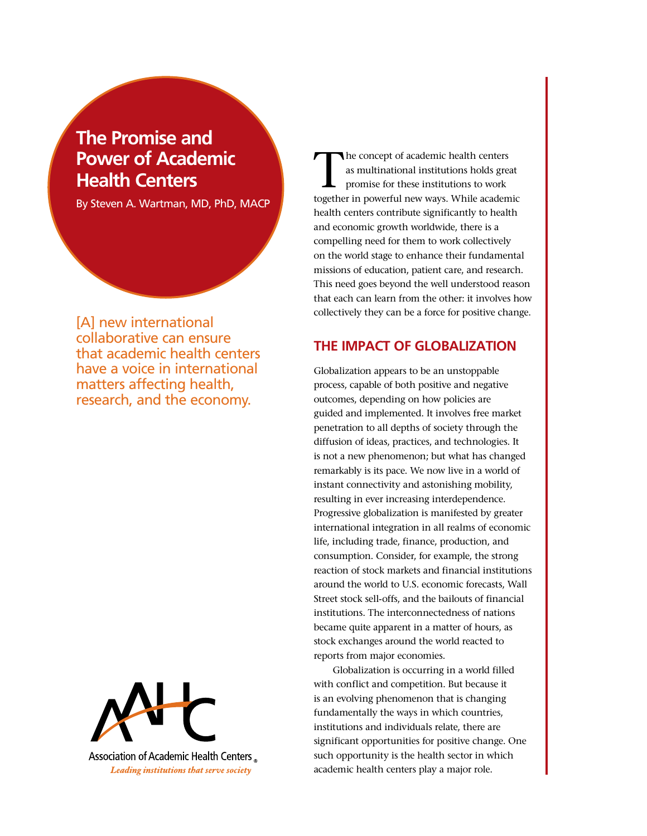# **The Promise and Power of Academic Health Centers**

By Steven A. Wartman, MD, PhD, MACP

[A] new international collaborative can ensure that academic health centers have a voice in international matters affecting health, research, and the economy.



Association of Academic Health Centers Leading institutions that serve society

The concept of academic health centers as multinational institutions holds great promise for these institutions to work together in powerful new ways. While academic health centers contribute significantly to health and economic growth worldwide, there is a compelling need for them to work collectively on the world stage to enhance their fundamental missions of education, patient care, and research. This need goes beyond the well understood reason that each can learn from the other: it involves how collectively they can be a force for positive change.

## **The Impact of Globalization**

Globalization appears to be an unstoppable process, capable of both positive and negative outcomes, depending on how policies are guided and implemented. It involves free market penetration to all depths of society through the diffusion of ideas, practices, and technologies. It is not a new phenomenon; but what has changed remarkably is its pace. We now live in a world of instant connectivity and astonishing mobility, resulting in ever increasing interdependence. Progressive globalization is manifested by greater international integration in all realms of economic life, including trade, finance, production, and consumption. Consider, for example, the strong reaction of stock markets and financial institutions around the world to U.S. economic forecasts, Wall Street stock sell-offs, and the bailouts of financial institutions. The interconnectedness of nations became quite apparent in a matter of hours, as stock exchanges around the world reacted to reports from major economies.

Globalization is occurring in a world filled with conflict and competition. But because it is an evolving phenomenon that is changing fundamentally the ways in which countries, institutions and individuals relate, there are significant opportunities for positive change. One such opportunity is the health sector in which academic health centers play a major role.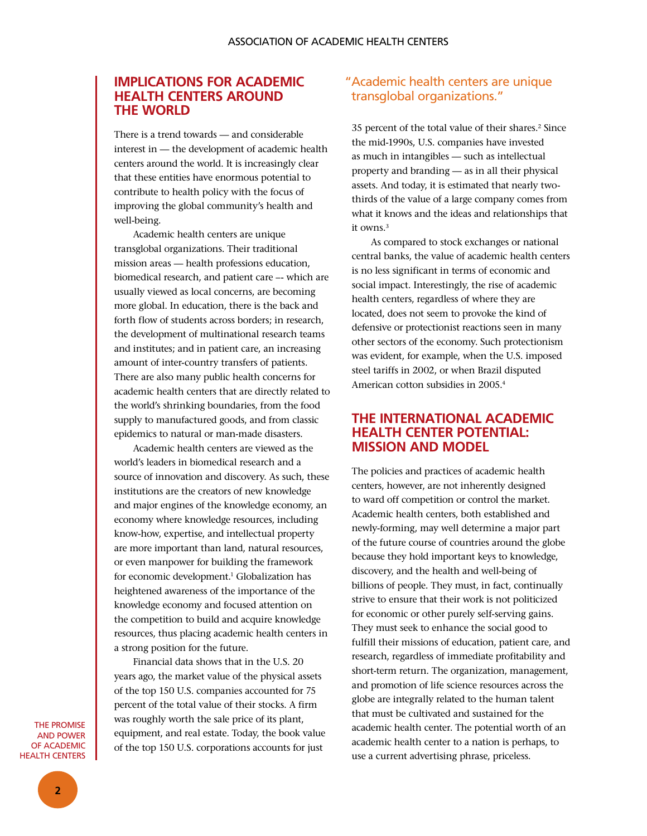#### **Implications for Academic Health Centers around THE WORLD**

There is a trend towards — and considerable interest in — the development of academic health centers around the world. It is increasingly clear that these entities have enormous potential to contribute to health policy with the focus of improving the global community's health and well-being.

Academic health centers are unique transglobal organizations. Their traditional mission areas — health professions education, biomedical research, and patient care –- which are usually viewed as local concerns, are becoming more global. In education, there is the back and forth flow of students across borders; in research, the development of multinational research teams and institutes; and in patient care, an increasing amount of inter-country transfers of patients. There are also many public health concerns for academic health centers that are directly related to the world's shrinking boundaries, from the food supply to manufactured goods, and from classic epidemics to natural or man-made disasters.

Academic health centers are viewed as the world's leaders in biomedical research and a source of innovation and discovery. As such, these institutions are the creators of new knowledge and major engines of the knowledge economy, an economy where knowledge resources, including know-how, expertise, and intellectual property are more important than land, natural resources, or even manpower for building the framework for economic development.<sup>1</sup> Globalization has heightened awareness of the importance of the knowledge economy and focused attention on the competition to build and acquire knowledge resources, thus placing academic health centers in a strong position for the future.

Financial data shows that in the U.S. 20 years ago, the market value of the physical assets of the top 150 U.S. companies accounted for 75 percent of the total value of their stocks. A firm was roughly worth the sale price of its plant, equipment, and real estate. Today, the book value of the top 150 U.S. corporations accounts for just

### "Academic health centers are unique transglobal organizations."

35 percent of the total value of their shares.<sup>2</sup> Since the mid-1990s, U.S. companies have invested as much in intangibles — such as intellectual property and branding — as in all their physical assets. And today, it is estimated that nearly twothirds of the value of a large company comes from what it knows and the ideas and relationships that it owns.<sup>3</sup>

As compared to stock exchanges or national central banks, the value of academic health centers is no less significant in terms of economic and social impact. Interestingly, the rise of academic health centers, regardless of where they are located, does not seem to provoke the kind of defensive or protectionist reactions seen in many other sectors of the economy. Such protectionism was evident, for example, when the U.S. imposed steel tariffs in 2002, or when Brazil disputed American cotton subsidies in 2005.4

#### **The International Academic Health Center Potential: Mission and Model**

The policies and practices of academic health centers, however, are not inherently designed to ward off competition or control the market. Academic health centers, both established and newly-forming, may well determine a major part of the future course of countries around the globe because they hold important keys to knowledge, discovery, and the health and well-being of billions of people. They must, in fact, continually strive to ensure that their work is not politicized for economic or other purely self-serving gains. They must seek to enhance the social good to fulfill their missions of education, patient care, and research, regardless of immediate profitability and short-term return. The organization, management, and promotion of life science resources across the globe are integrally related to the human talent that must be cultivated and sustained for the academic health center. The potential worth of an academic health center to a nation is perhaps, to use a current advertising phrase, priceless.

The Promise and Power OF ACADEMIC Health Centers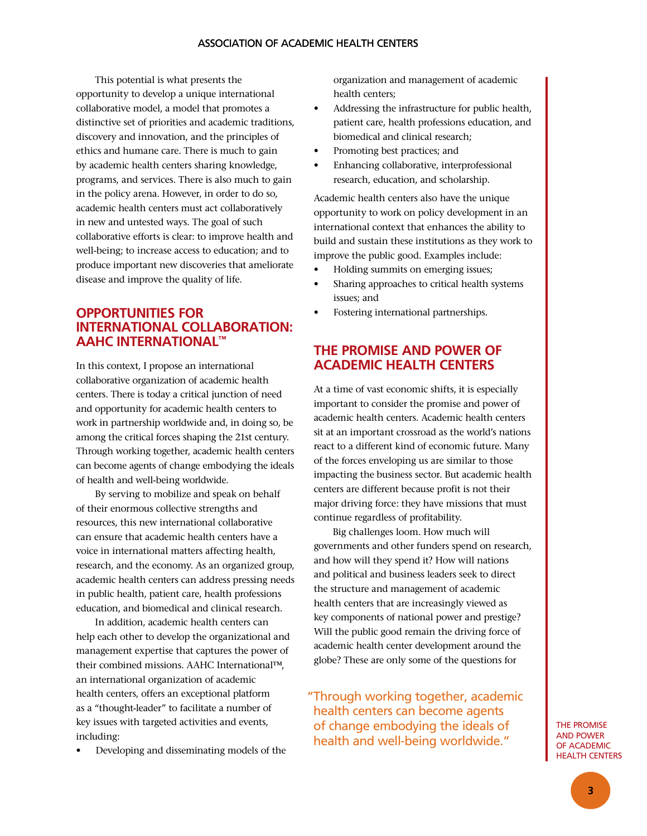This potential is what presents the opportunity to develop a unique international collaborative model, a model that promotes a distinctive set of priorities and academic traditions, discovery and innovation, and the principles of ethics and humane care. There is much to gain by academic health centers sharing knowledge, programs, and services. There is also much to gain in the policy arena. However, in order to do so, academic health centers must act collaboratively in new and untested ways. The goal of such collaborative efforts is clear: to improve health and well-being; to increase access to education; and to produce important new discoveries that ameliorate disease and improve the quality of life.

# **Opportunities for International Collaboration: AAHC International™**

In this context, I propose an international collaborative organization of academic health centers. There is today a critical junction of need and opportunity for academic health centers to work in partnership worldwide and, in doing so, be among the critical forces shaping the 21st century. Through working together, academic health centers can become agents of change embodying the ideals of health and well-being worldwide.

By serving to mobilize and speak on behalf of their enormous collective strengths and resources, this new international collaborative can ensure that academic health centers have a voice in international matters affecting health, research, and the economy. As an organized group, academic health centers can address pressing needs in public health, patient care, health professions education, and biomedical and clinical research.

In addition, academic health centers can help each other to develop the organizational and management expertise that captures the power of their combined missions. AAHC International™, an international organization of academic health centers, offers an exceptional platform as a "thought-leader" to facilitate a number of key issues with targeted activities and events, including:

Developing and disseminating models of the

organization and management of academic health centers;

- • Addressing the infrastructure for public health, patient care, health professions education, and biomedical and clinical research;
- Promoting best practices; and
- Enhancing collaborative, interprofessional research, education, and scholarship.

Academic health centers also have the unique opportunity to work on policy development in an international context that enhances the ability to build and sustain these institutions as they work to improve the public good. Examples include:

- Holding summits on emerging issues;
- Sharing approaches to critical health systems issues; and
- Fostering international partnerships.

## **The Promise and Power of Academic Health Centers**

At a time of vast economic shifts, it is especially important to consider the promise and power of academic health centers. Academic health centers sit at an important crossroad as the world's nations react to a different kind of economic future. Many of the forces enveloping us are similar to those impacting the business sector. But academic health centers are different because profit is not their major driving force: they have missions that must continue regardless of profitability.

Big challenges loom. How much will governments and other funders spend on research, and how will they spend it? How will nations and political and business leaders seek to direct the structure and management of academic health centers that are increasingly viewed as key components of national power and prestige? Will the public good remain the driving force of academic health center development around the globe? These are only some of the questions for

" Through working together, academic health centers can become agents of change embodying the ideals of health and well-being worldwide."

The Promise and Power of Academic Health Centers